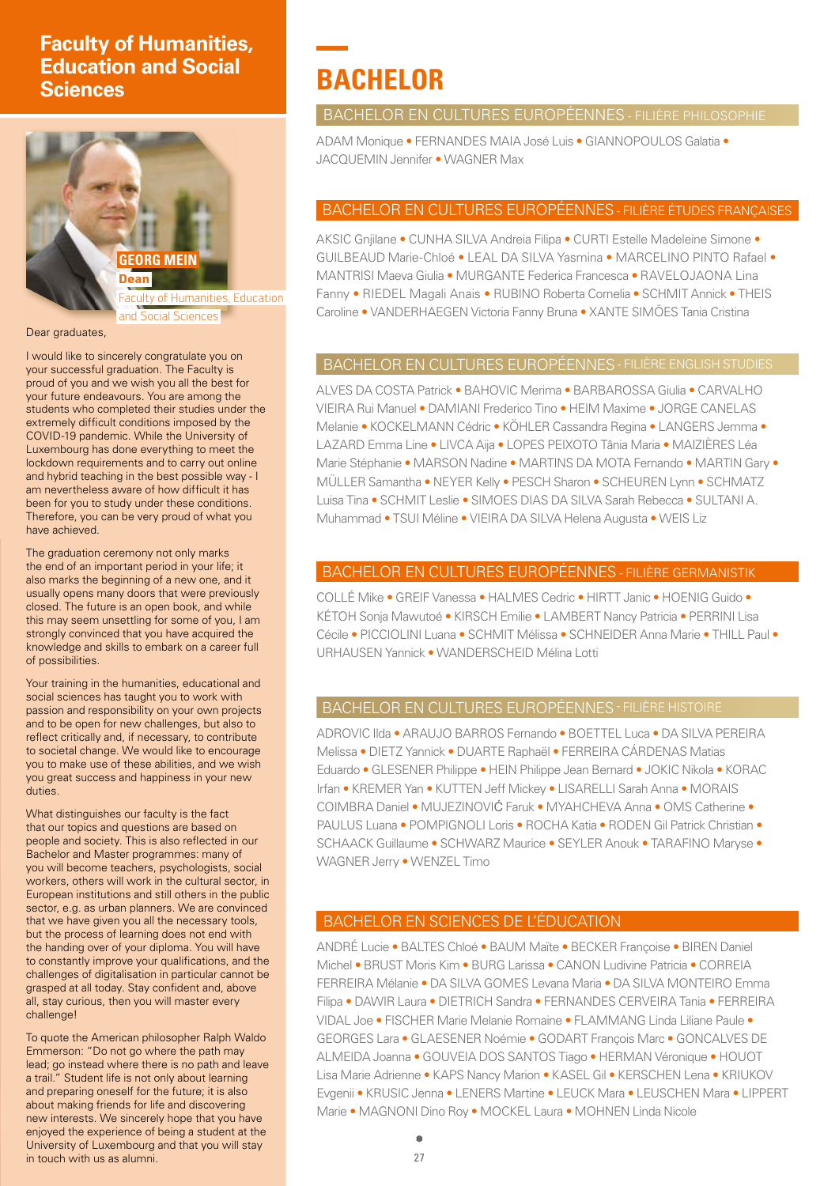# **Faculty of Humanities, Education and Social Sciences**



Dear graduates,

I would like to sincerely congratulate you on your successful graduation. The Faculty is proud of you and we wish you all the best for your future endeavours. You are among the students who completed their studies under the extremely difficult conditions imposed by the COVID-19 pandemic. While the University of Luxembourg has done everything to meet the lockdown requirements and to carry out online and hybrid teaching in the best possible way - I am nevertheless aware of how difficult it has been for you to study under these conditions. Therefore, you can be very proud of what you have achieved.

The graduation ceremony not only marks the end of an important period in your life; it also marks the beginning of a new one, and it usually opens many doors that were previously closed. The future is an open book, and while this may seem unsettling for some of you, I am strongly convinced that you have acquired the knowledge and skills to embark on a career full of possibilities.

Your training in the humanities, educational and social sciences has taught you to work with passion and responsibility on your own projects and to be open for new challenges, but also to reflect critically and, if necessary, to contribute to societal change. We would like to encourage you to make use of these abilities, and we wish you great success and happiness in your new duties.

What distinguishes our faculty is the fact that our topics and questions are based on people and society. This is also reflected in our Bachelor and Master programmes: many of you will become teachers, psychologists, social workers, others will work in the cultural sector, in European institutions and still others in the public sector, e.g. as urban planners. We are convinced that we have given you all the necessary tools, but the process of learning does not end with the handing over of your diploma. You will have to constantly improve your qualifications, and the challenges of digitalisation in particular cannot be grasped at all today. Stay confident and, above all, stay curious, then you will master every challenge!

To quote the American philosopher Ralph Waldo Emmerson: "Do not go where the path may lead; go instead where there is no path and leave a trail." Student life is not only about learning and preparing oneself for the future; it is also about making friends for life and discovering new interests. We sincerely hope that you have enjoyed the experience of being a student at the University of Luxembourg and that you will stay in touch with us as alumni.

# **BACHELOR**

#### BACHELOR EN CULTURES EUROPÉENNES - FILIÈRE PHILOSOPHIE

ADAM Monique • FERNANDES MAIA José Luis • GIANNOPOULOS Galatia • JACQUEMIN Jennifer • WAGNER Max

# BACHELOR EN CULTURES EUROPÉENNES - FILIÈRE ÉTUDES FRANÇAISES

AKSIC Gnjilane • CUNHA SILVA Andreia Filipa • CURTI Estelle Madeleine Simone • GUILBEAUD Marie-Chloé • LEAL DA SILVA Yasmina • MARCELINO PINTO Rafael • MANTRISI Maeva Giulia • MURGANTE Federica Francesca • RAVELOJAONA Lina Fanny • RIEDEL Magali Anais • RUBINO Roberta Cornelia • SCHMIT Annick • THEIS Caroline • VANDERHAEGEN Victoria Fanny Bruna • XANTE SIMÕES Tania Cristina

# BACHELOR EN CULTURES EUROPÉENNES - FILIÈRE ENGLISH STUDIES

ALVES DA COSTA Patrick • BAHOVIC Merima • BARBAROSSA Giulia • CARVALHO VIEIRA Rui Manuel • DAMIANI Frederico Tino • HEIM Maxime • JORGE CANELAS Melanie • KOCKELMANN Cédric • KÖHLER Cassandra Regina • LANGERS Jemma • LAZARD Emma Line • LIVCA Aija • LOPES PEIXOTO Tânia Maria • MAIZIÈRES Léa Marie Stéphanie • MARSON Nadine • MARTINS DA MOTA Fernando • MARTIN Gary • MÜLLER Samantha • NEYER Kelly • PESCH Sharon • SCHEUREN Lynn • SCHMATZ Luisa Tina • SCHMIT Leslie • SIMOES DIAS DA SILVA Sarah Rebecca • SULTANI A. Muhammad • TSUI Méline • VIEIRA DA SILVA Helena Augusta • WEIS Liz

# BACHELOR EN CULTURES EUROPÉENNES - FILIÈRE GERMANISTIK

COLLÉ Mike • GREIF Vanessa • HALMES Cedric • HIRTT Janic • HOENIG Guido • KÉTOH Sonja Mawutoé • KIRSCH Emilie • LAMBERT Nancy Patricia • PERRINI Lisa Cécile • PICCIOLINI Luana • SCHMIT Mélissa • SCHNEIDER Anna Marie • THILL Paul • URHAUSEN Yannick • WANDERSCHEID Mélina Lotti

#### BACHELOR EN CULTURES EUROPÉENNES - FILIÈRE HISTOIRE

ADROVIC Ilda • ARAUJO BARROS Fernando • BOETTEL Luca • DA SILVA PEREIRA Melissa • DIETZ Yannick • DUARTE Raphaël • FERREIRA CÁRDENAS Matias Eduardo • GLESENER Philippe • HEIN Philippe Jean Bernard • JOKIC Nikola • KORAC Irfan • KREMER Yan • KUTTEN Jeff Mickey • LISARELLI Sarah Anna • MORAIS COIMBRA Daniel • MUJEZINOVIĆ Faruk • MYAHCHEVA Anna • OMS Catherine • PAULUS Luana • POMPIGNOLI Loris • ROCHA Katia • RODEN Gil Patrick Christian • SCHAACK Guillaume • SCHWARZ Maurice • SEYLER Anouk • TARAFINO Maryse • WAGNER Jerry • WENZEL Timo

# BACHELOR EN SCIENCES DE L'ÉDUCATION

ANDRÉ Lucie • BALTES Chloé • BAUM Maïte • BECKER Françoise • BIREN Daniel Michel • BRUST Moris Kim • BURG Larissa • CANON Ludivine Patricia • CORREIA FERREIRA Mélanie • DA SILVA GOMES Levana Maria • DA SILVA MONTEIRO Emma Filipa • DAWIR Laura • DIETRICH Sandra • FERNANDES CERVEIRA Tania • FERREIRA VIDAL Joe • FISCHER Marie Melanie Romaine • FLAMMANG Linda Liliane Paule • GEORGES Lara • GLAESENER Noémie • GODART François Marc • GONCALVES DE ALMEIDA Joanna • GOUVEIA DOS SANTOS Tiago • HERMAN Véronique • HOUOT Lisa Marie Adrienne • KAPS Nancy Marion • KASEL Gil • KERSCHEN Lena • KRIUKOV Evgenii • KRUSIC Jenna • LENERS Martine • LEUCK Mara • LEUSCHEN Mara • LIPPERT Marie • MAGNONI Dino Roy • MOCKEL Laura • MOHNEN Linda Nicole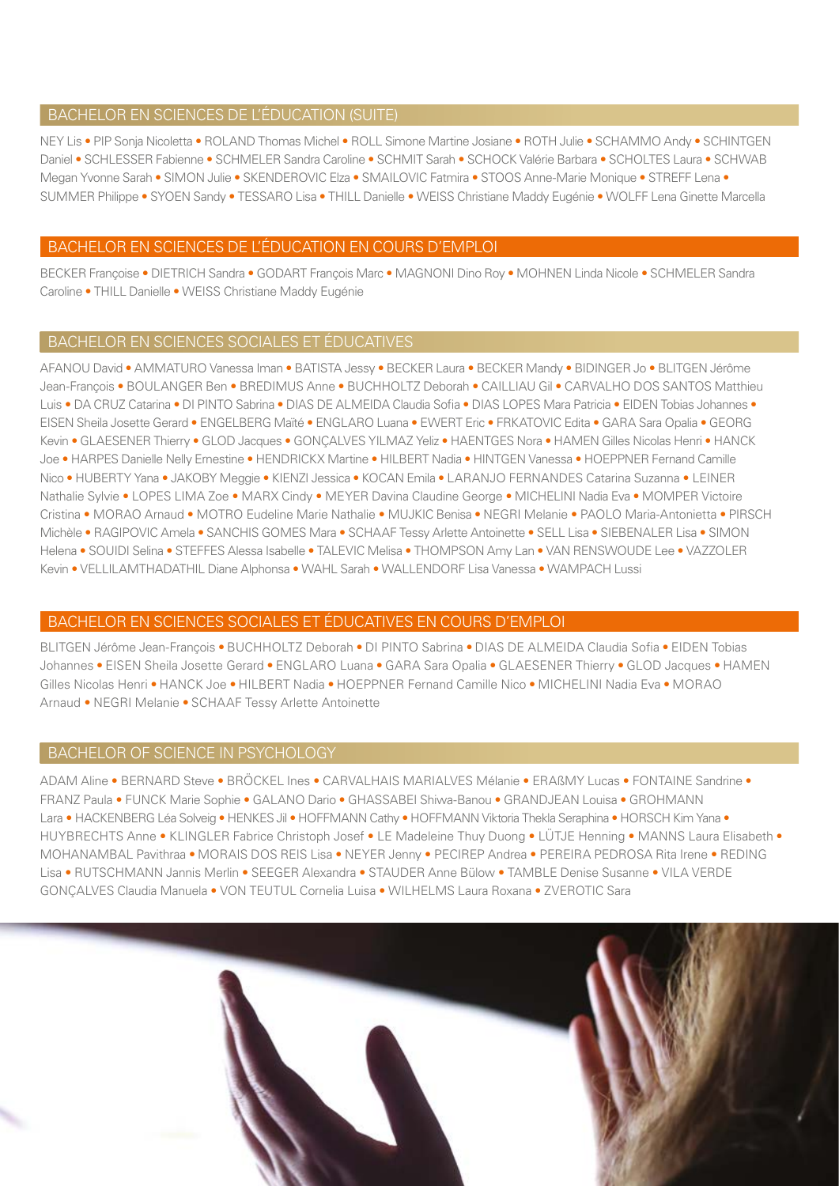#### BACHELOR EN SCIENCES DE L'ÉDUCATION (SUITE)

NEY Lis • PIP Sonja Nicoletta • ROLAND Thomas Michel • ROLL Simone Martine Josiane • ROTH Julie • SCHAMMO Andy • SCHINTGEN Daniel • SCHLESSER Fabienne • SCHMELER Sandra Caroline • SCHMIT Sarah • SCHOCK Valérie Barbara • SCHOLTES Laura • SCHWAB Megan Yvonne Sarah • SIMON Julie • SKENDEROVIC Elza • SMAILOVIC Fatmira • STOOS Anne-Marie Monique • STREFF Lena • SUMMER Philippe • SYOEN Sandy • TESSARO Lisa • THILL Danielle • WEISS Christiane Maddy Eugénie • WOLFF Lena Ginette Marcella

#### BACHELOR EN SCIENCES DE L'ÉDUCATION EN COURS D'EMPLOI

BECKER Françoise • DIETRICH Sandra • GODART François Marc • MAGNONI Dino Roy • MOHNEN Linda Nicole • SCHMELER Sandra Caroline • THILL Danielle • WEISS Christiane Maddy Eugénie

#### BACHELOR EN SCIENCES SOCIALES ET ÉDUCATIVES

AFANOU David • AMMATURO Vanessa Iman • BATISTA Jessy • BECKER Laura • BECKER Mandy • BIDINGER Jo • BLITGEN Jérôme Jean-François • BOULANGER Ben • BREDIMUS Anne • BUCHHOLTZ Deborah • CAILLIAU Gil • CARVALHO DOS SANTOS Matthieu Luis • DA CRUZ Catarina • DI PINTO Sabrina • DIAS DE ALMEIDA Claudia Sofia • DIAS LOPES Mara Patricia • EIDEN Tobias Johannes • EISEN Sheila Josette Gerard • ENGELBERG Maïté • ENGLARO Luana • EWERT Eric • FRKATOVIC Edita • GARA Sara Opalia • GEORG Kevin • GLAESENER Thierry • GLOD Jacques • GONCALVES YILMAZ Yeliz • HAENTGES Nora • HAMEN Gilles Nicolas Henri • HANCK Joe • HARPES Danielle Nelly Ernestine • HENDRICKX Martine • HILBERT Nadia • HINTGEN Vanessa • HOEPPNER Fernand Camille Nico • HUBERTY Yana • JAKOBY Meggie • KIENZI Jessica • KOCAN Emila • LARANJO FERNANDES Catarina Suzanna • LEINER Nathalie Sylvie • LOPES LIMA Zoe • MARX Cindy • MEYER Davina Claudine George • MICHELINI Nadia Eva • MOMPER Victoire Cristina • MORAO Arnaud • MOTRO Eudeline Marie Nathalie • MUJKIC Benisa • NEGRI Melanie • PAOLO Maria-Antonietta • PIRSCH Michèle • RAGIPOVIC Amela • SANCHIS GOMES Mara • SCHAAF Tessy Arlette Antoinette • SELL Lisa • SIEBENALER Lisa • SIMON Helena • SOUIDI Selina • STEFFES Alessa Isabelle • TALEVIC Melisa • THOMPSON Amy Lan • VAN RENSWOUDE Lee • VAZZOLER Kevin • VELLILAMTHADATHIL Diane Alphonsa • WAHL Sarah • WALLENDORF Lisa Vanessa • WAMPACH Lussi

#### BACHELOR EN SCIENCES SOCIALES ET ÉDUCATIVES EN COURS D'EMPLOI

BLITGEN Jérôme Jean-François • BUCHHOLTZ Deborah • DI PINTO Sabrina • DIAS DE ALMEIDA Claudia Sofia • EIDEN Tobias Johannes • EISEN Sheila Josette Gerard • ENGLARO Luana • GARA Sara Opalia • GLAESENER Thierry • GLOD Jacques • HAMEN Gilles Nicolas Henri • HANCK Joe • HILBERT Nadia • HOEPPNER Fernand Camille Nico • MICHELINI Nadia Eva • MORAO Arnaud • NEGRI Melanie • SCHAAF Tessy Arlette Antoinette

#### BACHELOR OF SCIENCE IN PSYCHOLOGY

ADAM Aline • BERNARD Steve • BRÖCKEL Ines • CARVALHAIS MARIALVES Mélanie • ERAßMY Lucas • FONTAINE Sandrine • FRANZ Paula • FUNCK Marie Sophie • GALANO Dario • GHASSABEI Shiwa-Banou • GRANDJEAN Louisa • GROHMANN Lara • HACKENBERG Léa Solveig • HENKES Jil • HOFFMANN Cathy • HOFFMANN Viktoria Thekla Seraphina • HORSCH Kim Yana • HUYBRECHTS Anne • KLINGLER Fabrice Christoph Josef • LE Madeleine Thuy Duong • LÜTJE Henning • MANNS Laura Elisabeth • MOHANAMBAL Pavithraa • MORAIS DOS REIS Lisa • NEYER Jenny • PECIREP Andrea • PEREIRA PEDROSA Rita Irene • REDING Lisa • RUTSCHMANN Jannis Merlin • SEEGER Alexandra • STAUDER Anne Bülow • TAMBLE Denise Susanne • VILA VERDE GONÇALVES Claudia Manuela • VON TEUTUL Cornelia Luisa • WILHELMS Laura Roxana • ZVEROTIC Sara

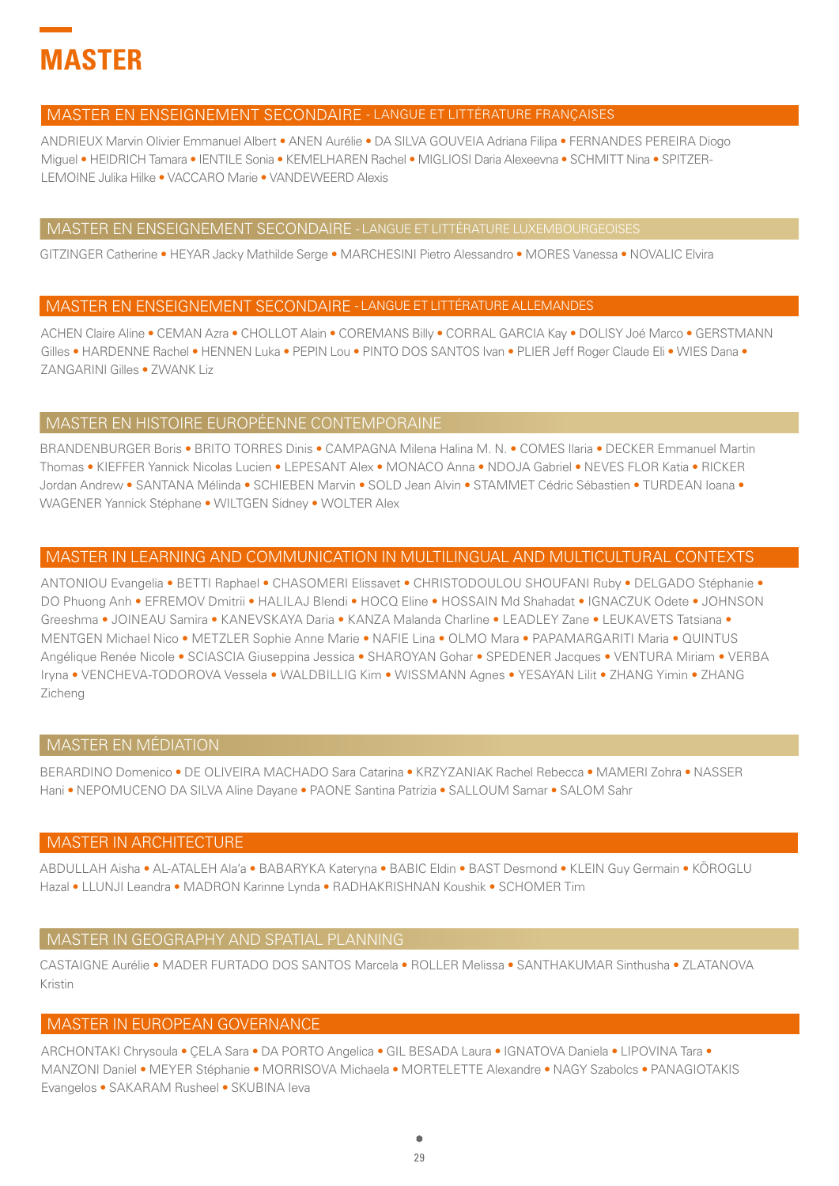

#### MASTER EN ENSEIGNEMENT SECONDAIRE - LANGUE ET LITTÉRATURE FRANÇAISES

ANDRIEUX Marvin Olivier Emmanuel Albert • ANEN Aurélie • DA SILVA GOUVEIA Adriana Filipa • FERNANDES PEREIRA Diogo Miguel • HEIDRICH Tamara • IENTILE Sonia • KEMELHAREN Rachel • MIGLIOSI Daria Alexeevna • SCHMITT Nina • SPITZER-LEMOINE Julika Hilke • VACCARO Marie • VANDEWEERD Alexis

#### MASTER EN ENSEIGNEMENT SECONDAIRE - LANGUE ET LITTÉRATURE LUXEMBOURGEOISES

GITZINGER Catherine • HEYAR Jacky Mathilde Serge • MARCHESINI Pietro Alessandro • MORES Vanessa • NOVALIC Elvira

#### MASTER EN ENSEIGNEMENT SECONDAIRE - LANGUE ET LITTÉRATURE ALLEMANDES

ACHEN Claire Aline • CEMAN Azra • CHOLLOT Alain • COREMANS Billy • CORRAL GARCIA Kay • DOLISY Joé Marco • GERSTMANN Gilles • HARDENNE Rachel • HENNEN Luka • PEPIN Lou • PINTO DOS SANTOS Ivan • PLIER Jeff Roger Claude Eli • WIES Dana • ZANGARINI Gilles • ZWANK Liz

#### MASTER EN HISTOIRE EUROPÉENNE CONTEMPORAINE

BRANDENBURGER Boris • BRITO TORRES Dinis • CAMPAGNA Milena Halina M. N. • COMES Ilaria • DECKER Emmanuel Martin Thomas • KIEFFER Yannick Nicolas Lucien • LEPESANT Alex • MONACO Anna • NDOJA Gabriel • NEVES FLOR Katia • RICKER Jordan Andrew • SANTANA Mélinda • SCHIEBEN Marvin • SOLD Jean Alvin • STAMMET Cédric Sébastien • TURDEAN Ioana • WAGENER Yannick Stéphane • WILTGEN Sidney • WOLTER Alex

#### MASTER IN LEARNING AND COMMUNICATION IN MULTILINGUAL AND MULTICULTURAL CONTEXTS

ANTONIOU Evangelia • BETTI Raphael • CHASOMERI Elissavet • CHRISTODOULOU SHOUFANI Ruby • DELGADO Stéphanie • DO Phuong Anh • EFREMOV Dmitrii • HALILAJ Blendi • HOCQ Eline • HOSSAIN Md Shahadat • IGNACZUK Odete • JOHNSON Greeshma • JOINEAU Samira • KANEVSKAYA Daria • KANZA Malanda Charline • LEADLEY Zane • LEUKAVETS Tatsiana • MENTGEN Michael Nico • METZLER Sophie Anne Marie • NAFIE Lina • OLMO Mara • PAPAMARGARITI Maria • QUINTUS Angélique Renée Nicole • SCIASCIA Giuseppina Jessica • SHAROYAN Gohar • SPEDENER Jacques • VENTURA Miriam • VERBA Iryna • VENCHEVA-TODOROVA Vessela • WALDBILLIG Kim • WISSMANN Agnes • YESAYAN Lilit • ZHANG Yimin • ZHANG Zicheng

# MASTER EN MÉDIATION

BERARDINO Domenico • DE OLIVEIRA MACHADO Sara Catarina • KRZYZANIAK Rachel Rebecca • MAMERI Zohra • NASSER Hani • NEPOMUCENO DA SILVA Aline Dayane • PAONE Santina Patrizia • SALLOUM Samar • SALOM Sahr

#### MASTER IN ARCHITECTURE

ABDULLAH Aisha • AL-ATALEH Ala'a • BABARYKA Kateryna • BABIC Eldin • BAST Desmond • KLEIN Guy Germain • KÖROGLU Hazal • LLUNJI Leandra • MADRON Karinne Lynda • RADHAKRISHNAN Koushik • SCHOMER Tim

#### MASTER IN GEOGRAPHY AND SPATIAL PLANNING

CASTAIGNE Aurélie • MADER FURTADO DOS SANTOS Marcela • ROLLER Melissa • SANTHAKUMAR Sinthusha • ZLATANOVA Kristin

# MASTER IN EUROPEAN GOVERNANCE

ARCHONTAKI Chrysoula • ÇELA Sara • DA PORTO Angelica • GIL BESADA Laura • IGNATOVA Daniela • LIPOVINA Tara • MANZONI Daniel • MEYER Stéphanie • MORRISOVA Michaela • MORTELETTE Alexandre • NAGY Szabolcs • PANAGIOTAKIS Evangelos • SAKARAM Rusheel • SKUBINA Ieva